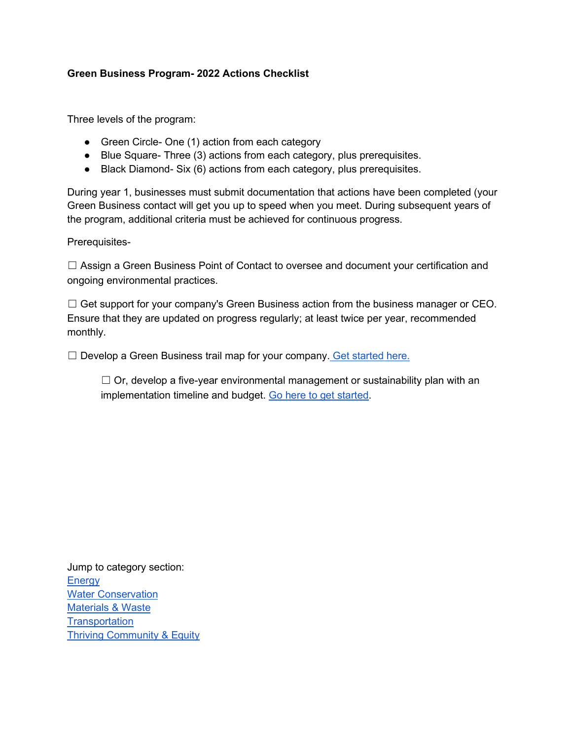#### **Green Business Program- 2022 Actions Checklist**

Three levels of the program:

- Green Circle- One (1) action from each category
- Blue Square- Three (3) actions from each category, plus prerequisites.
- Black Diamond- Six (6) actions from each category, plus prerequisites.

During year 1, businesses must submit documentation that actions have been completed (your Green Business contact will get you up to speed when you meet. During subsequent years of the program, additional criteria must be achieved for continuous progress.

Prerequisites-

☐ Assign a Green Business Point of Contact to oversee and document your certification and ongoing environmental practices.

 $\Box$  Get support for your company's Green Business action from the business manager or CEO. Ensure that they are updated on progress regularly; at least twice per year, recommended monthly.

☐ Develop a Green Business trail map for your company. [Get started here.](https://docs.google.com/document/d/1fno3X8ENJ2vjQ9naKlB2ofz9rBsie4_J-fcQITDKfBg/edit?usp=sharing)

 $\Box$  Or, develop a five-year environmental management or sustainability plan with an implementation timeline and budget. [Go here to get started.](https://www.epa.gov/ems/guide-developing-environmental-management-system-plan)

Jump to category section: **[Energy](#page-1-0)** [Water Conservation](#page-4-0) [Materials & Waste](#page-6-0) **[Transportation](#page-8-0)** [Thriving Community & Equity](#page-10-0)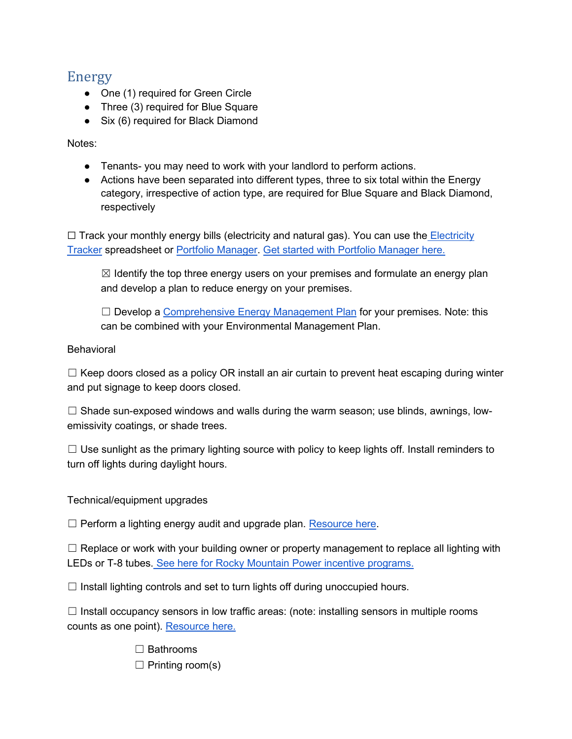## <span id="page-1-0"></span>Energy

- One (1) required for Green Circle
- Three (3) required for Blue Square
- Six (6) required for Black Diamond

Notes:

- Tenants- you may need to work with your landlord to perform actions.
- Actions have been separated into different types, three to six total within the Energy category, irrespective of action type, are required for Blue Square and Black Diamond, respectively

□ Track your monthly energy bills (electricity and natural gas). You can use the **Electricity** [Tracker](https://docs.google.com/spreadsheets/d/1OqN3DOQuas9qmWGJ8XZ2Y6MOTr-9ikjk/edit?usp=sharing&ouid=117652365782510858151&rtpof=true&sd=true) spreadsheet or [Portfolio Manager.](https://portfoliomanager.energystar.gov/) [Get started with Portfolio Manager here.](https://docs.google.com/document/d/1fTmMWAN82gHHJCRIUV1gFQybVOOyxHAyg8v0Wg0Z-bc/edit?usp=sharing)

 $\boxtimes$  Identify the top three energy users on your premises and formulate an energy plan and develop a plan to reduce energy on your premises.

 $\Box$  Develop a [Comprehensive Energy Management Plan](https://www.energystar.gov/buildings/save_energy_commercial_buildings/comprehensive_energy_management) for your premises. Note: this can be combined with your Environmental Management Plan.

#### Behavioral

 $\Box$  Keep doors closed as a policy OR install an air curtain to prevent heat escaping during winter and put signage to keep doors closed.

 $\Box$  Shade sun-exposed windows and walls during the warm season; use blinds, awnings, lowemissivity coatings, or shade trees.

 $\Box$  Use sunlight as the primary lighting source with policy to keep lights off. Install reminders to turn off lights during daylight hours.

Technical/equipment upgrades

 $\Box$  Perform a lighting energy audit and upgrade plan. [Resource here.](https://docs.google.com/document/d/1jFTyigQ7FeuMKiMSqS6MPw_Wcg810eeX21X2mQmEyic/edit?usp=sharing)

 $\Box$  Replace or work with your building owner or property management to replace all lighting with LEDs or T-8 tubes. [See here for Rocky Mountain Power incentive programs.](https://docs.google.com/spreadsheets/d/1B-bYebJXXf44c4CQFnJyABvT5kh0YosQzxr84aA21Tc/edit?usp=sharing)

 $\Box$  Install lighting controls and set to turn lights off during unoccupied hours.

 $\Box$  Install occupancy sensors in low traffic areas: (note: installing sensors in multiple rooms counts as one point). [Resource here.](https://drive.google.com/file/d/1xsBm3fBeKNsSnRqXMc8gGPz6jcAleSTG/view?usp=sharing)

> ☐ Bathrooms  $\Box$  Printing room(s)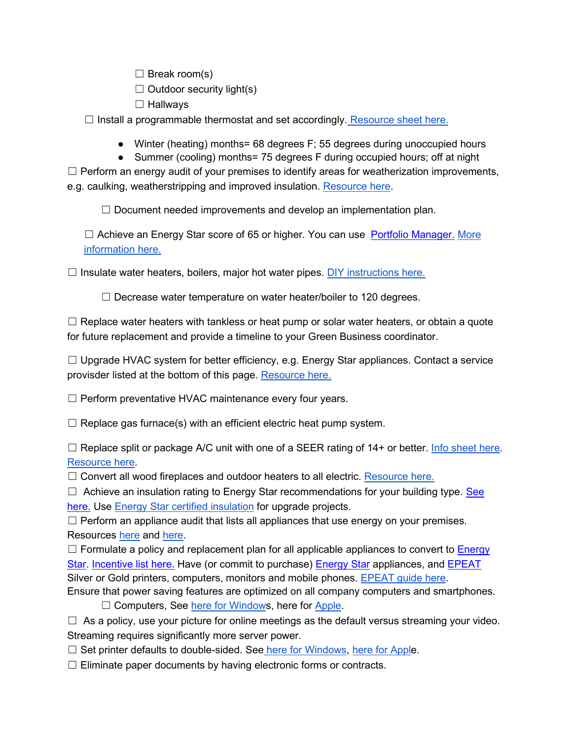$\Box$  Break room(s)

 $\Box$  Outdoor security light(s)

☐ Hallways

 $\Box$  Install a programmable thermostat and set accordingly. [Resource sheet here.](https://docs.google.com/document/d/1iIo6tTD1srjVDwCMWB8jDps5yZfhDeLXPDEFvIxw8wk/edit)

- Winter (heating) months= 68 degrees F; 55 degrees during unoccupied hours
- Summer (cooling) months= 75 degrees F during occupied hours; off at night

 $\Box$  Perform an energy audit of your premises to identify areas for weatherization improvements, e.g. caulking, weatherstripping and improved insulation. [Resource here.](https://docs.google.com/document/d/1yoUhM0_ds_vluoBqYHlS80ah4ZnqHmfjWblr0EUNDko/edit?usp=sharing)

 $\Box$  Document needed improvements and develop an implementation plan.

 $\Box$  Achieve an Energy Star score of 65 or higher. You can use [Portfolio Manager.](https://www.energystar.gov/buildings/benchmark) More [information here.](https://www.energystar.gov/buildings/building_recognition/building_certification)

 $\Box$  Insulate water heaters, boilers, major hot water pipes. [DIY instructions here.](https://www.energy.gov/energysaver/do-it-yourself-savings-project-insulate-hot-water-pipes)

□ Decrease water temperature on water heater/boiler to 120 degrees.

 $\Box$  Replace water heaters with tankless or heat pump or solar water heaters, or obtain a quote for future replacement and provide a timeline to your Green Business coordinator.

 $\Box$  Upgrade HVAC system for better efficiency, e.g. Energy Star appliances. Contact a service provisder listed at the bottom of this page. [Resource here.](https://docs.google.com/document/d/1yoUhM0_ds_vluoBqYHlS80ah4ZnqHmfjWblr0EUNDko/edit)

 $\Box$  Perform preventative HVAC maintenance every four years.

 $\Box$  Replace gas furnace(s) with an efficient electric heat pump system.

 $\Box$  Replace split or package A/C unit with one of a SEER rating of 14+ or better. [Info sheet here.](https://www.wattsmarthomes.com/sites/default/files/ckfinder/files/dfhp-technical-sheet.pdf) [Resource here.](https://www.wattsmarthomes.com/sites/default/files/ckfinder/files/ut-dfhp-info-sheet.pdf)

 $\Box$  Convert all wood fireplaces and outdoor heaters to all electric. [Resource here.](https://docs.google.com/document/d/1cjGNbt2--xJD0wSMNiu8F7mvQsTn9EU9VzTAX8xrht8/edit?usp=sharing)

 $\Box$  Achieve an insulation rating to Energy Star recommendations for your building type. See [here.](https://www.energystar.gov/campaign/seal_insulate/identify_problems_you_want_fix/diy_checks_inspections/insulation_r_values) Use [Energy Star certified insulation](https://www.energystar.gov/campaign/seal_insulate/certified_insulation) for upgrade projects.

 $\Box$  Perform an appliance audit that lists all appliances that use energy on your premises. Resources [here](https://docs.google.com/document/d/1CbCKQnsEQTZ75VLwHKtpK8ROdVDwRSgzHLUkM2Nk9Yk/edit?usp=sharing) and [here.](https://docs.google.com/spreadsheets/d/1DNN1PqGXfGrMcKyAtznm_JhMldoVabct/edit?usp=sharing&ouid=117652365782510858151&rtpof=true&sd=true)

 $\Box$  Formulate a policy and replacement plan for all applicable appliances to convert to Energy [Star.](https://www.energystar.gov/) [Incentive list here.](https://www.rockymountainpower.net/savings-energy-choices/business/wattsmart-efficiency-incentives-utah/ut-incentive-lists.html) Have (or commit to purchase) [Energy Star](https://www.energystar.gov/) appliances, and [EPEAT](https://www.epeat.net/) Silver or Gold printers, computers, monitors and mobile phones. [EPEAT guide here.](https://www.weber.edu/wsuimages/sustainability/Green%20Department%20Program/current-green-resources/energy/EPEAT.pdf)

Ensure that power saving features are optimized on all company computers and smartphones.

□ Computers, See [here for Windows](https://www.weber.edu/wsuimages/sustainability/Green%20Department%20Program/current-green-resources/energy/power-management_windows.jpg), here for [Apple.](https://www.weber.edu/wsuimages/sustainability/Green%20Department%20Program/current-green-resources/energy/power-management_apple.pdf)

 $\Box$  As a policy, use your picture for online meetings as the default versus streaming your video. Streaming requires significantly more server power.

 $\Box$  Set printer defaults to double-sided. See [here for Windows,](https://www.weber.edu/wsuimages/sustainability/Green%20Department%20Program/current-green-resources/waste-reduction/windows-default-double-sided.pdf) [here for Apple](https://www.weber.edu/wsuimages/sustainability/Green%20Department%20Program/current-green-resources/waste-reduction/apple-default-double-sided.pdf).

 $\Box$  Eliminate paper documents by having electronic forms or contracts.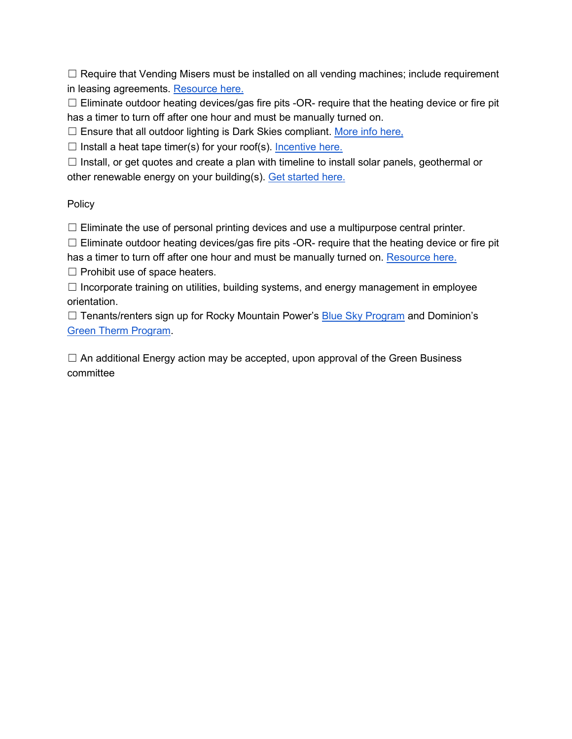$\Box$  Require that Vending Misers must be installed on all vending machines; include requirement in leasing agreements. [Resource here.](https://sustainability.tufts.edu/wp-content/uploads/VendingMiserHandout-updated020310.pdf)

□ Eliminate outdoor heating devices/gas fire pits -OR- require that the heating device or fire pit has a timer to turn off after one hour and must be manually turned on.

□ Ensure that all outdoor lighting is Dark Skies compliant. [More info here,](https://www.darksky.org/our-work/lighting/lighting-for-citizens/lighting-basics/)

 $\Box$  Install a heat tape timer(s) for your roof(s). Incentive here.

 $\Box$  Install, or get quotes and create a plan with timeline to install solar panels, geothermal or other renewable energy on your building(s). [Get started here.](https://hub.utahcleanenergy.org/solar-power/for-businesses/)

#### Policy

 $\Box$  Eliminate the use of personal printing devices and use a multipurpose central printer.

 $\Box$  Eliminate outdoor heating devices/gas fire pits -OR- require that the heating device or fire pit

has a timer to turn off after one hour and must be manually turned on. [Resource here.](https://docs.google.com/document/d/1T--MnWvueR0rRplRkWOLTfaNfBLDsnBbgJHmByTI3yY/edit?usp=sharing)

 $\Box$  Prohibit use of space heaters.

☐ Incorporate training on utilities, building systems, and energy management in employee orientation.

 $\Box$  Tenants/renters sign up for Rocky Mountain Power's **Blue Sky Program** and Dominion's [Green Therm Program.](https://www.dominionenergy.com/utah/save-energy/greentherm)

 $\Box$  An additional Energy action may be accepted, upon approval of the Green Business committee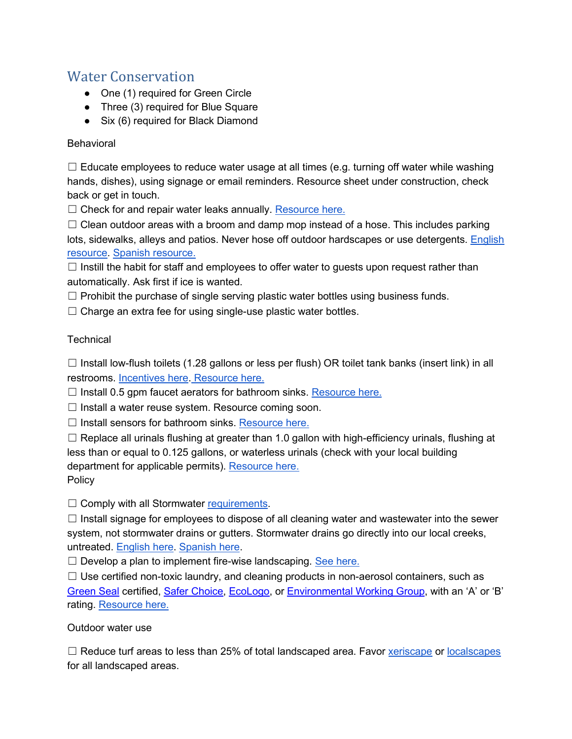## <span id="page-4-0"></span>Water Conservation

- One (1) required for Green Circle
- Three (3) required for Blue Square
- Six (6) required for Black Diamond

### **Behavioral**

 $\Box$  Educate employees to reduce water usage at all times (e.g. turning off water while washing hands, dishes), using signage or email reminders. Resource sheet under construction, check back or get in touch.

□ Check for and repair water leaks annually. [Resource here.](https://docs.google.com/document/d/1asWmhPM3AOtWLqZJys8xQpZaHemrmeCl-EOjlsAgjZY/edit?usp=sharing)

 $\Box$  Clean outdoor areas with a broom and damp mop instead of a hose. This includes parking lots, sidewalks, alleys and patios. Never hose off outdoor hardscapes or use detergents. [English](https://drive.google.com/file/d/1hyOZt9JbtHJU1HYFaul-l8th4wtJsdIA/view?usp=sharing)  [resource.](https://drive.google.com/file/d/1hyOZt9JbtHJU1HYFaul-l8th4wtJsdIA/view?usp=sharing) [Spanish resource.](https://drive.google.com/file/d/1_QNwWWGVTFAFKqxpju46DBZNaLo9k8TK/view?usp=sharing)

 $\Box$  Instill the habit for staff and employees to offer water to guests upon request rather than automatically. Ask first if ice is wanted.

 $\Box$  Prohibit the purchase of single serving plastic water bottles using business funds.

 $\Box$  Charge an extra fee for using single-use plastic water bottles.

### **Technical**

 $\Box$  Install low-flush toilets (1.28 gallons or less per flush) OR toilet tank banks (insert link) in all restrooms. [Incentives here.](https://utahwatersavers.com/) [Resource here.](https://docs.google.com/document/d/1eeIYpMG5LLaCkKI4HOxauPuspWQCIVmZK3G6CqNSHtg/edit?usp=sharing)

 $\Box$  Install 0.5 gpm faucet aerators for bathroom sinks. [Resource here.](https://docs.google.com/document/d/1eeIYpMG5LLaCkKI4HOxauPuspWQCIVmZK3G6CqNSHtg/edit?usp=sharing)

 $\Box$  Install a water reuse system. Resource coming soon.

 $\Box$  Install sensors for bathroom sinks. [Resource here.](https://docs.google.com/document/d/1eeIYpMG5LLaCkKI4HOxauPuspWQCIVmZK3G6CqNSHtg/edit?usp=sharing)

 $\Box$  Replace all urinals flushing at greater than 1.0 gallon with high-efficiency urinals, flushing at less than or equal to 0.125 gallons, or waterless urinals (check with your local building department for applicable permits). [Resource here.](https://docs.google.com/document/d/1eeIYpMG5LLaCkKI4HOxauPuspWQCIVmZK3G6CqNSHtg/edit?usp=sharing) **Policy** 

 $\Box$  Comply with all Stormwater [requirements.](https://drive.google.com/file/d/18ytXwwQbYCSLJy78F2rocb004UUgrHPK/view?usp=sharing)

 $\Box$  Install signage for employees to dispose of all cleaning water and wastewater into the sewer system, not stormwater drains or gutters. Stormwater drains go directly into our local creeks, untreated. [English here.](https://drive.google.com/file/d/1hyOZt9JbtHJU1HYFaul-l8th4wtJsdIA/view?usp=sharing) [Spanish here.](https://drive.google.com/file/d/1_QNwWWGVTFAFKqxpju46DBZNaLo9k8TK/view?usp=sharing)

 $\Box$  Develop a plan to implement fire-wise landscaping. [See here.](https://forestry.usu.edu/forest-fire/firewise-landscaping-basics)

 $\Box$  Use certified non-toxic laundry, and cleaning products in non-aerosol containers, such as [Green Seal](https://greenseal.org/) certified, [Safer Choice,](https://www.epa.gov/saferchoice) [EcoLogo,](https://spot.ul.com/professional-purchasers/) or [Environmental Working Group,](https://www.ewg.org/guides/cleaners/) with an 'A' or 'B' rating. [Resource here.](https://docs.google.com/document/d/1Qh8mVeQw4kdallZ1X9-Il9-jbFcJ-45z3MMDDVPU-0E/edit?usp=sharing)

Outdoor water use

□ Reduce turf areas to less than 25% of total landscaped area. Favor [xeriscape](https://extension.usu.edu/washington/gardening/landscapes/xeriscape) or [localscapes](https://localscapes.com/) for all landscaped areas.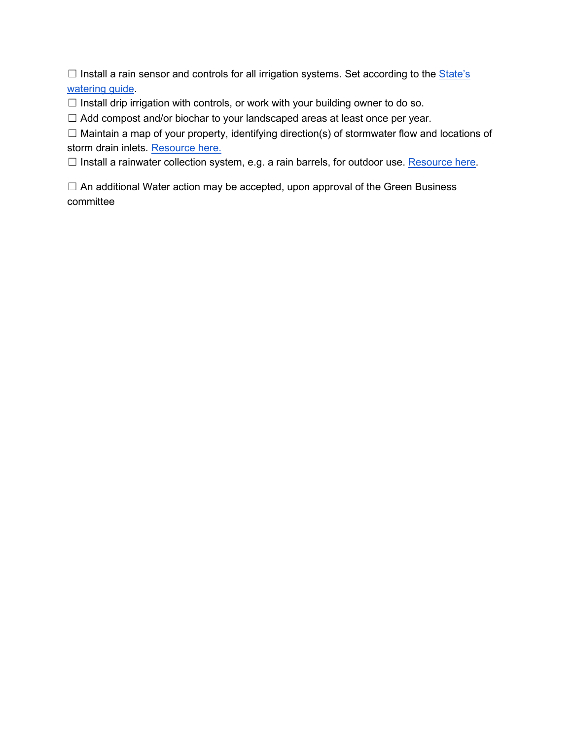$\Box$  Install a rain sensor and controls for all irrigation systems. Set according to the  $\underline{\text{State's}}$ [watering guide.](https://conservewater.utah.gov/weekly-lawn-watering-guide/)

 $\Box$  Install drip irrigation with controls, or work with your building owner to do so.

☐ Add compost and/or biochar to your landscaped areas at least once per year.

☐ Maintain a map of your property, identifying direction(s) of stormwater flow and locations of storm drain inlets. [Resource here.](https://docs.google.com/document/d/1mqviPT6qju2zwvwk1WPC3fS5Fx7hSsAsVnLGWQ7gScI/edit?usp=sharing)

□ Install a rainwater collection system, e.g. a rain barrels, for outdoor use. [Resource here.](https://www.rainwatersolutions.com/)

 $\Box$  An additional Water action may be accepted, upon approval of the Green Business committee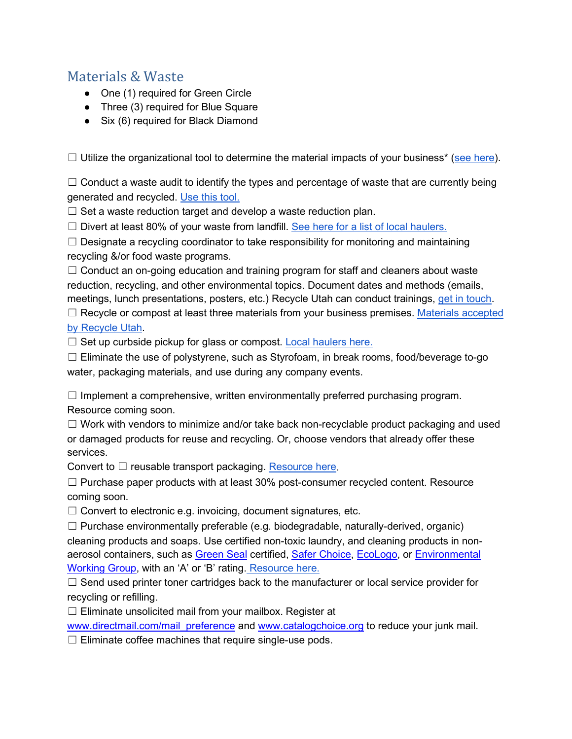## <span id="page-6-0"></span>Materials & Waste

- One (1) required for Green Circle
- Three (3) required for Blue Square
- Six (6) required for Black Diamond

 $\Box$  Utilize the organizational tool to determine the material impacts of your business\* [\(see here\)](https://www.epa.gov/smm/smm-prioritization-tools-index).

 $\Box$  Conduct a waste audit to identify the types and percentage of waste that are currently being generated and recycled. [Use this tool.](https://docs.google.com/spreadsheets/d/1SwtXMQeAPLMIIHfh_SaRgiDMdxZwxITa/edit?usp=sharing&ouid=117652365782510858151&rtpof=true&sd=true)

 $\Box$  Set a waste reduction target and develop a waste reduction plan.

 $\Box$  Divert at least 80% of your waste from landfill. [See here for a list of local haulers.](https://www.recycleutah.org/summit-county-recycling/)

 $\Box$  Designate a recycling coordinator to take responsibility for monitoring and maintaining recycling &/or food waste programs.

 $\Box$  Conduct an on-going education and training program for staff and cleaners about waste reduction, recycling, and other environmental topics. Document dates and methods (emails, meetings, lunch presentations, posters, etc.) Recycle Utah can conduct trainings, [get in touch.](mailto:%20mary@recycleutah.org)

 $\Box$  Recycle or compost at least three materials from your business premises. Materials accepted [by Recycle Utah.](https://www.recycleutah.org/materials-accepted/)

 $\Box$  Set up curbside pickup for glass or compost. [Local haulers here.](https://recycleutah.org/wp-content/uploads/2022/04/Hauler-list-2021.pdf)

 $\Box$  Eliminate the use of polystyrene, such as Styrofoam, in break rooms, food/beverage to-go water, packaging materials, and use during any company events.

 $\Box$  Implement a comprehensive, written environmentally preferred purchasing program. Resource coming soon.

 $\Box$  Work with vendors to minimize and/or take back non-recyclable product packaging and used or damaged products for reuse and recycling. Or, choose vendors that already offer these services.

Convert to  $\Box$  reusable transport packaging. [Resource here.](https://deq.utah.gov/sbeap/converting-to-reusable-transport-packaging)

☐ Purchase paper products with at least 30% post-consumer recycled content. Resource coming soon.

 $\Box$  Convert to electronic e.g. invoicing, document signatures, etc.

 $\Box$  Purchase environmentally preferable (e.g. biodegradable, naturally-derived, organic) cleaning products and soaps. Use certified non-toxic laundry, and cleaning products in nonaerosol containers, such as [Green Seal](https://greenseal.org/) certified, [Safer Choice,](https://www.epa.gov/saferchoice) [EcoLogo,](https://spot.ul.com/professional-purchasers/) or [Environmental](https://www.ewg.org/guides/cleaners/)  [Working Group,](https://www.ewg.org/guides/cleaners/) with an 'A' or 'B' rating. [Resource here.](https://docs.google.com/document/d/1Qh8mVeQw4kdallZ1X9-Il9-jbFcJ-45z3MMDDVPU-0E/edit?usp=sharing)

□ Send used printer toner cartridges back to the manufacturer or local service provider for recycling or refilling.

 $\Box$  Eliminate unsolicited mail from your mailbox. Register at

[www.directmail.com/mail\\_preference](http://www.directmail.com/mail_preference) and [www.catalogchoice.org](http://www.catalogchoice.org/) to reduce your junk mail.

☐ Eliminate coffee machines that require single-use pods.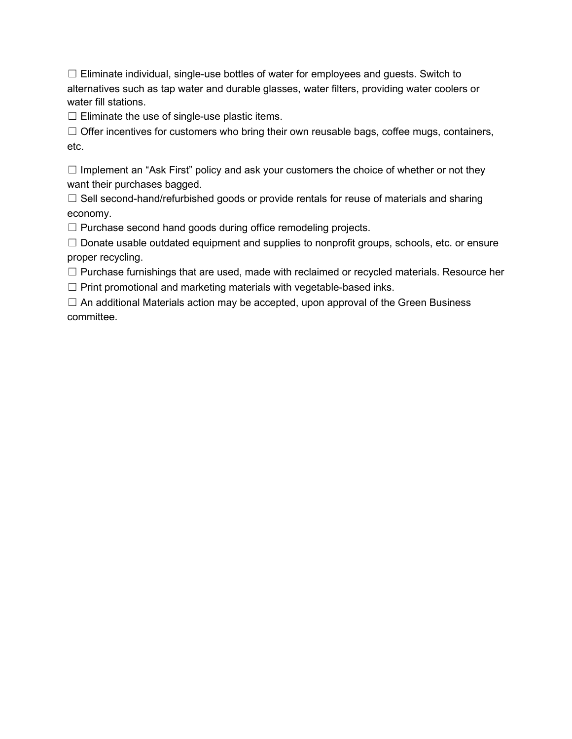$\Box$  Eliminate individual, single-use bottles of water for employees and guests. Switch to alternatives such as tap water and durable glasses, water filters, providing water coolers or water fill stations.

 $\Box$  Eliminate the use of single-use plastic items.

□ Offer incentives for customers who bring their own reusable bags, coffee mugs, containers, etc.

 $\Box$  Implement an "Ask First" policy and ask your customers the choice of whether or not they want their purchases bagged.

☐ Sell second-hand/refurbished goods or provide rentals for reuse of materials and sharing economy.

☐ Purchase second hand goods during office remodeling projects.

☐ Donate usable outdated equipment and supplies to nonprofit groups, schools, etc. or ensure proper recycling.

□ Purchase furnishings that are used, made with reclaimed or recycled materials. Resource her  $\Box$  Print promotional and marketing materials with vegetable-based inks.

 $\Box$  An additional Materials action may be accepted, upon approval of the Green Business committee.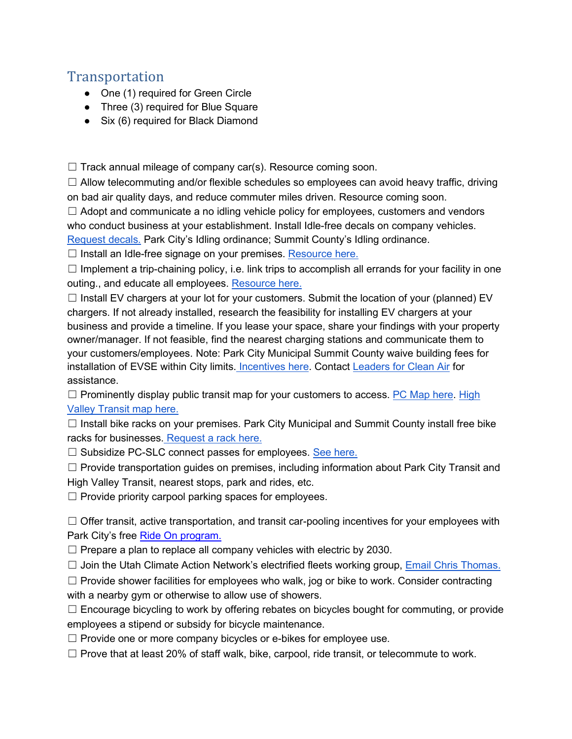# <span id="page-8-0"></span>Transportation

- One (1) required for Green Circle
- Three (3) required for Blue Square
- Six (6) required for Black Diamond

 $\Box$  Track annual mileage of company car(s). Resource coming soon.

 $\Box$  Allow telecommuting and/or flexible schedules so employees can avoid heavy traffic, driving on bad air quality days, and reduce commuter miles driven. Resource coming soon.

 $\Box$  Adopt and communicate a no idling vehicle policy for employees, customers and vendors who conduct business at your establishment. Install Idle-free decals on company vehicles.

[Request decals.](mailto:%20celia.peterson@parkcity.org) Park City's Idling ordinance; Summit County's Idling ordinance.

□ Install an Idle-free signage on your premises. [Resource here.](https://docs.google.com/document/d/1LaxYLbtmro3Zk_Y6Kn8ts70ap8AZnkkIxAJ-TX7cegU/edit?usp=sharing)

 $\Box$  Implement a trip-chaining policy, i.e. link trips to accomplish all errands for your facility in one outing., and educate all employees. [Resource here.](https://docs.google.com/document/d/1-VxuUoR5gcmlsjay8LKYZbFd796TO246tQGXgZpMJjM/edit?usp=sharing)

 $\Box$  Install EV chargers at your lot for your customers. Submit the location of your (planned) EV chargers. If not already installed, research the feasibility for installing EV chargers at your business and provide a timeline. If you lease your space, share your findings with your property owner/manager. If not feasible, find the nearest charging stations and communicate them to your customers/employees. Note: Park City Municipal Summit County waive building fees for installation of EVSE within City limits[.](https://www.rockymountainpower.net/savings-energy-choices/electric-vehicles.html) [Incentives here.](https://www.rockymountainpower.net/savings-energy-choices/electric-vehicles.html) Contact [Leaders for Clean Air](http://leadersforcleanair.org/) for assistance.

 $\Box$  Prominently display public transit map for your customers to access. [PC Map here.](https://www.parkcity.org/departments/transit-bus/routes-schedules) High [Valley Transit map here.](https://highvalleytransit.org/)

 $\Box$  Install bike racks on your premises. Park City Municipal and Summit County install free bike racks for businesses. [Request a rack here.](https://www.parkcity.org/departments/transportation-planning/transportation-demand-management-programs/request-a-rack-program)

□ Subsidize PC-SLC connect passes for employees. [See here.](https://www.rideuta.com/Rider-Tools/Schedules-and-Maps/902-PC-SLC-Connect)

☐ Provide transportation guides on premises, including information about Park City Transit and High Valley Transit, nearest stops, park and rides, etc.

 $\Box$  Provide priority carpool parking spaces for employees.

 $\Box$  Offer transit, active transportation, and transit car-pooling incentives for your employees with Park City's free [Ride On program.](https://www.parkcity.org/departments/lifestyle-choices/ride-on-carpooling-app)

 $\Box$  Prepare a plan to replace all company vehicles with electric by 2030.

 $\Box$  Join the Utah Climate Action Network's electrified fleets working group, [Email Chris Thomas.](mailto:christopher.thomas@slc.gov)

 $\Box$  Provide shower facilities for employees who walk, jog or bike to work. Consider contracting with a nearby gym or otherwise to allow use of showers.

 $\Box$  Encourage bicycling to work by offering rebates on bicycles bought for commuting, or provide employees a stipend or subsidy for bicycle maintenance.

- $\Box$  Provide one or more company bicycles or e-bikes for employee use.
- $\Box$  Prove that at least 20% of staff walk, bike, carpool, ride transit, or telecommute to work.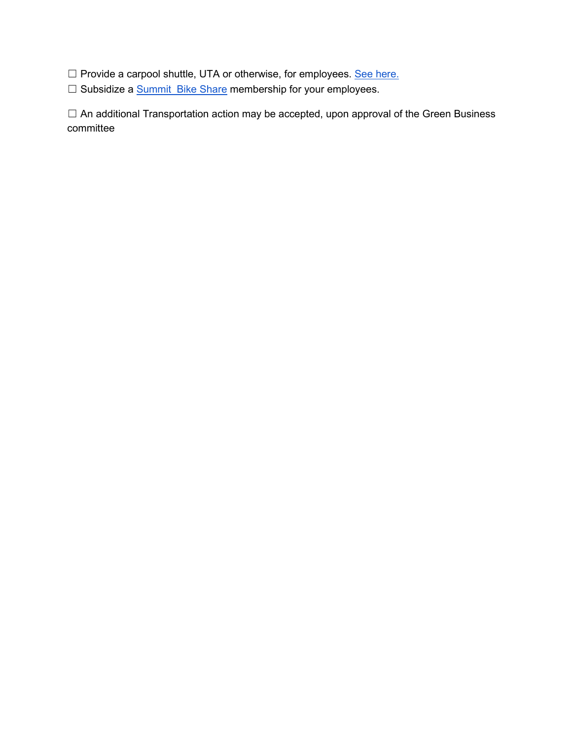□ Provide a carpool shuttle, UTA or otherwise, for employees. [See here.](https://www.rideuta.com/Services/Vanpool)

□ Subsidize a [Summit Bike Share](https://www.summitbikeshare.com/) membership for your employees.

☐ An additional Transportation action may be accepted, upon approval of the Green Business committee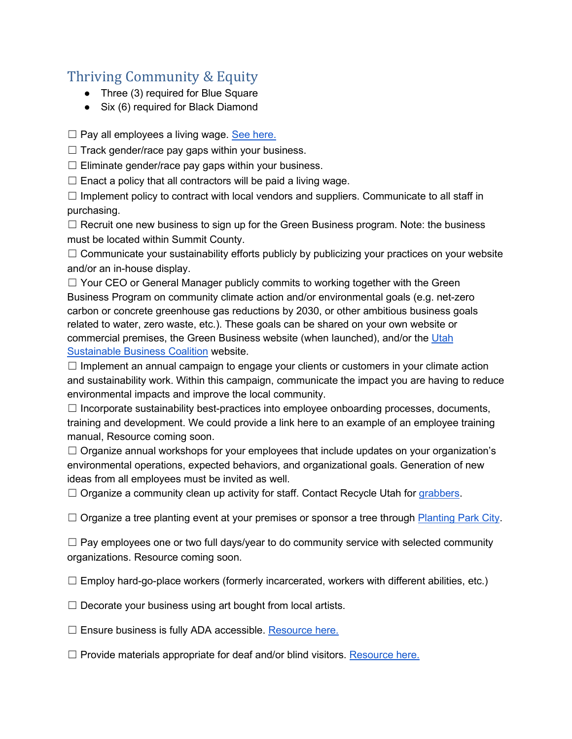# <span id="page-10-0"></span>Thriving Community & Equity

- Three (3) required for Blue Square
- Six (6) required for Black Diamond

 $\Box$  Pay all employees a living wage. [See here.](https://livingwage.mit.edu/counties/49043)

 $\Box$  Track gender/race pay gaps within your business.

 $\Box$  Eliminate gender/race pay gaps within your business.

 $\Box$  Enact a policy that all contractors will be paid a living wage.

 $\Box$  Implement policy to contract with local vendors and suppliers. Communicate to all staff in purchasing.

☐ Recruit one new business to sign up for the Green Business program. Note: the business must be located within Summit County.

 $\Box$  Communicate your sustainability efforts publicly by publicizing your practices on your website and/or an in-house display.

 $\Box$  Your CEO or General Manager publicly commits to working together with the Green Business Program on community climate action and/or environmental goals (e.g. net-zero carbon or concrete greenhouse gas reductions by 2030, or other ambitious business goals related to water, zero waste, etc.). These goals can be shared on your own website or commercial premises, the Green Business website (when launched), and/or the Utah [Sustainable Business Coalition](https://www.utahsbc.org/) website.

 $\Box$  Implement an annual campaign to engage your clients or customers in your climate action and sustainability work. Within this campaign, communicate the impact you are having to reduce environmental impacts and improve the local community.

 $\Box$  Incorporate sustainability best-practices into employee onboarding processes, documents, training and development. We could provide a link here to an example of an employee training manual, Resource coming soon.

 $\Box$  Organize annual workshops for your employees that include updates on your organization's environmental operations, expected behaviors, and organizational goals. Generation of new ideas from all employees must be invited as well.

 $\Box$  Organize a community clean up activity for staff. Contact Recycle Utah for [grabbers.](mailto:%20outreach@recycleutah.org)

 $\Box$  Organize a tree planting event at your premises or sponsor a tree through [Planting Park City.](https://www.parkcity.org/departments/environmental-sustainability/planting-park-city)

 $\Box$  Pay employees one or two full days/year to do community service with selected community organizations. Resource coming soon.

 $\Box$  Employ hard-go-place workers (formerly incarcerated, workers with different abilities, etc.)

□ Decorate your business using art bought from local artists.

 $\Box$  Ensure business is fully ADA accessible. [Resource here.](https://docs.google.com/document/d/1ZRb7NsOfM5FLrBdpkg_HBXKsAl-Lgbsx583HdVph2-I/edit?usp=sharing)

 $\Box$  Provide materials appropriate for deaf and/or blind visitors. [Resource here.](https://docs.google.com/document/d/1ZRb7NsOfM5FLrBdpkg_HBXKsAl-Lgbsx583HdVph2-I/edit?usp=sharing)